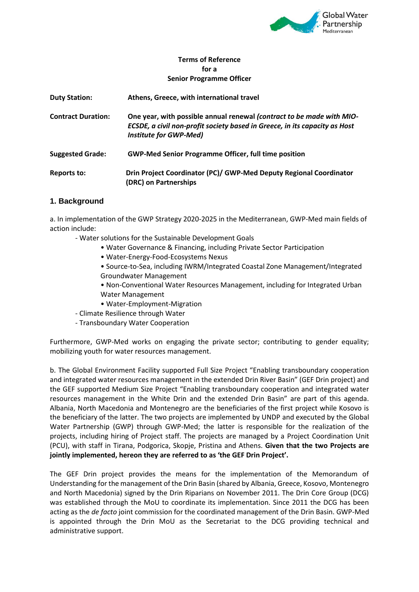

## **Terms of Reference for a Senior Programme Officer**

| <b>Duty Station:</b>      | Athens, Greece, with international travel                                                                                                                                            |
|---------------------------|--------------------------------------------------------------------------------------------------------------------------------------------------------------------------------------|
| <b>Contract Duration:</b> | One year, with possible annual renewal (contract to be made with MIO-<br>ECSDE, a civil non-profit society based in Greece, in its capacity as Host<br><b>Institute for GWP-Med)</b> |
| <b>Suggested Grade:</b>   | <b>GWP-Med Senior Programme Officer, full time position</b>                                                                                                                          |
| Reports to:               | Drin Project Coordinator (PC)/ GWP-Med Deputy Regional Coordinator<br>(DRC) on Partnerships                                                                                          |

# **1. Background**

a. In implementation of the GWP Strategy 2020-2025 in the Mediterranean, GWP-Med main fields of action include:

- Water solutions for the Sustainable Development Goals
	- Water Governance & Financing, including Private Sector Participation
	- Water-Energy-Food-Ecosystems Nexus
	- Source-to-Sea, including IWRM/Integrated Coastal Zone Management/Integrated Groundwater Management

• Non-Conventional Water Resources Management, including for Integrated Urban Water Management

- Water-Employment-Migration
- Climate Resilience through Water
- Transboundary Water Cooperation

Furthermore, GWP-Med works on engaging the private sector; contributing to gender equality; mobilizing youth for water resources management.

b. The Global Environment Facility supported Full Size Project "Enabling transboundary cooperation and integrated water resources management in the extended Drin River Basin" (GEF Drin project) and the GEF supported Medium Size Project "Enabling transboundary cooperation and integrated water resources management in the White Drin and the extended Drin Basin" are part of this agenda. Albania, North Macedonia and Montenegro are the beneficiaries of the first project while Kosovo is the beneficiary of the latter. The two projects are implemented by UNDP and executed by the Global Water Partnership (GWP) through GWP-Med; the latter is responsible for the realization of the projects, including hiring of Project staff. The projects are managed by a Project Coordination Unit (PCU), with staff in Tirana, Podgorica, Skopje, Pristina and Athens. **Given that the two Projects are jointly implemented, hereon they are referred to as 'the GEF Drin Project'.**

The GEF Drin project provides the means for the implementation of the Memorandum of Understanding for the management of the Drin Basin (shared by Albania, Greece, Kosovo, Montenegro and North Macedonia) signed by the Drin Riparians on November 2011. The Drin Core Group (DCG) was established through the MoU to coordinate its implementation. Since 2011 the DCG has been acting as the *de facto* joint commission for the coordinated management of the Drin Basin. GWP-Med is appointed through the Drin MoU as the Secretariat to the DCG providing technical and administrative support.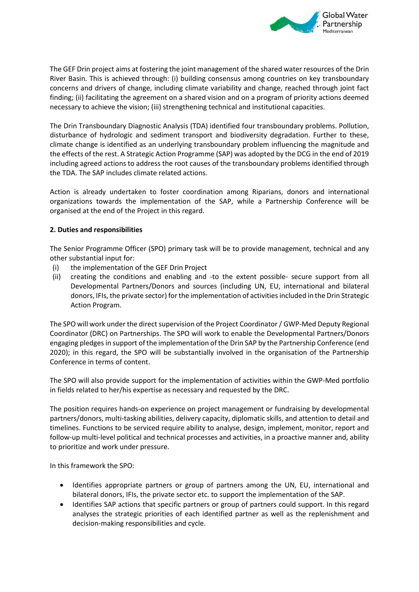

The GEF Drin project aims at fostering the joint management of the shared water resources of the Drin River Basin. This is achieved through: (i) building consensus among countries on key transboundary concerns and drivers of change, including climate variability and change, reached through joint fact finding; (ii) facilitating the agreement on a shared vision and on a program of priority actions deemed necessary to achieve the vision; (iii) strengthening technical and institutional capacities.

The Drin Transboundary Diagnostic Analysis (TDA) identified four transboundary problems. Pollution, disturbance of hydrologic and sediment transport and biodiversity degradation. Further to these, climate change is identified as an underlying transboundary problem influencing the magnitude and the effects of the rest. A Strategic Action Programme (SAP) was adopted by the DCG in the end of 2019 including agreed actions to address the root causes of the transboundary problems identified through the TDA. The SAP includes climate related actions.

Action is already undertaken to foster coordination among Riparians, donors and international organizations towards the implementation of the SAP, while a Partnership Conference will be organised at the end of the Project in this regard.

## **2. Duties and responsibilities**

The Senior Programme Officer (SPO) primary task will be to provide management, technical and any other substantial input for:

- (i) the implementation of the GEF Drin Project
- (ii) creating the conditions and enabling and -to the extent possible- secure support from all Developmental Partners/Donors and sources (including UN, EU, international and bilateral donors, IFIs, the private sector) for the implementation of activities included in the Drin Strategic Action Program.

The SPO will work under the direct supervision of the Project Coordinator / GWP-Med Deputy Regional Coordinator (DRC) on Partnerships. The SPO will work to enable the Developmental Partners/Donors engaging pledges in support of the implementation of the Drin SAP by the Partnership Conference (end 2020); in this regard, the SPO will be substantially involved in the organisation of the Partnership Conference in terms of content.

The SPO will also provide support for the implementation of activities within the GWP-Med portfolio in fields related to her/his expertise as necessary and requested by the DRC.

The position requires hands-on experience on project management or fundraising by developmental partners/donors, multi-tasking abilities, delivery capacity, diplomatic skills, and attention to detail and timelines. Functions to be serviced require ability to analyse, design, implement, monitor, report and follow-up multi-level political and technical processes and activities, in a proactive manner and, ability to prioritize and work under pressure.

In this framework the SPO:

- Identifies appropriate partners or group of partners among the UN, EU, international and bilateral donors, IFIs, the private sector etc. to support the implementation of the SAP.
- Identifies SAP actions that specific partners or group of partners could support. In this regard analyses the strategic priorities of each identified partner as well as the replenishment and decision-making responsibilities and cycle.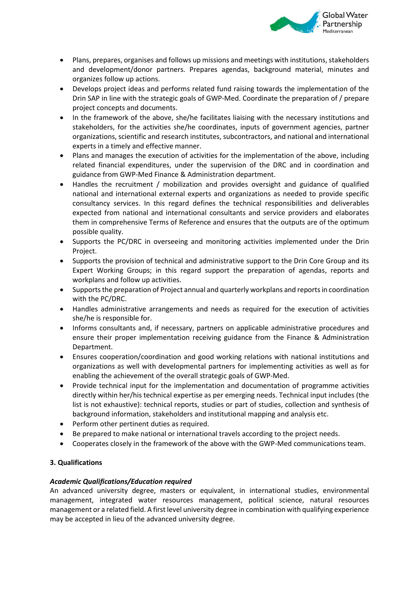

- Plans, prepares, organises and follows up missions and meetings with institutions, stakeholders and development/donor partners. Prepares agendas, background material, minutes and organizes follow up actions.
- Develops project ideas and performs related fund raising towards the implementation of the Drin SAP in line with the strategic goals of GWP-Med. Coordinate the preparation of / prepare project concepts and documents.
- In the framework of the above, she/he facilitates liaising with the necessary institutions and stakeholders, for the activities she/he coordinates, inputs of government agencies, partner organizations, scientific and research institutes, subcontractors, and national and international experts in a timely and effective manner.
- Plans and manages the execution of activities for the implementation of the above, including related financial expenditures, under the supervision of the DRC and in coordination and guidance from GWP-Med Finance & Administration department.
- Handles the recruitment / mobilization and provides oversight and guidance of qualified national and international external experts and organizations as needed to provide specific consultancy services. In this regard defines the technical responsibilities and deliverables expected from national and international consultants and service providers and elaborates them in comprehensive Terms of Reference and ensures that the outputs are of the optimum possible quality.
- Supports the PC/DRC in overseeing and monitoring activities implemented under the Drin Project.
- Supports the provision of technical and administrative support to the Drin Core Group and its Expert Working Groups; in this regard support the preparation of agendas, reports and workplans and follow up activities.
- Supports the preparation of Project annual and quarterly workplans and reports in coordination with the PC/DRC.
- Handles administrative arrangements and needs as required for the execution of activities she/he is responsible for.
- Informs consultants and, if necessary, partners on applicable administrative procedures and ensure their proper implementation receiving guidance from the Finance & Administration Department.
- Ensures cooperation/coordination and good working relations with national institutions and organizations as well with developmental partners for implementing activities as well as for enabling the achievement of the overall strategic goals of GWP-Med.
- Provide technical input for the implementation and documentation of programme activities directly within her/his technical expertise as per emerging needs. Technical input includes (the list is not exhaustive): technical reports, studies or part of studies, collection and synthesis of background information, stakeholders and institutional mapping and analysis etc.
- Perform other pertinent duties as required.
- Be prepared to make national or international travels according to the project needs.
- Cooperates closely in the framework of the above with the GWP-Med communications team.

# **3. Qualifications**

# *Academic Qualifications/Education required*

An advanced university degree, masters or equivalent, in international studies, environmental management, integrated water resources management, political science, natural resources management or a related field. A first level university degree in combination with qualifying experience may be accepted in lieu of the advanced university degree.